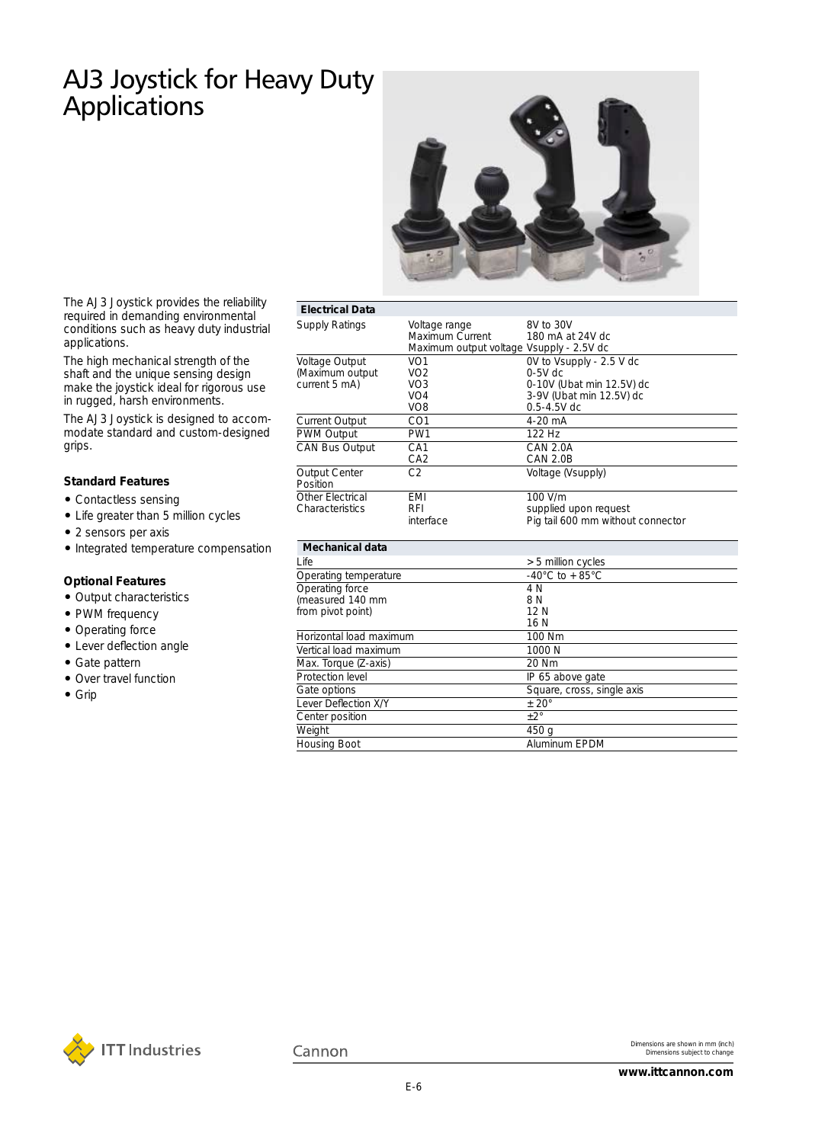### AJ3 Joystick for Heavy Duty **Applications**



The AJ3 Joystick provides the reliability required in demanding environmental conditions such as heavy duty industrial applications.

The high mechanical strength of the shaft and the unique sensing design make the joystick ideal for rigorous use in rugged, harsh environments.

The AJ3 Joystick is designed to accommodate standard and custom-designed grips.

#### **Standard Features**

- Contactless sensing
- Life greater than 5 million cycles
- 2 sensors per axis
- Integrated temperature compensation

#### **Optional Features**

- Output characteristics
- PWM frequency
- Operating force
- Lever deflection angle
- Gate pattern
- Over travel function
- Grip

| <b>Electrical Data</b>                                  |                                                                                             |                                                                                                                   |  |  |  |
|---------------------------------------------------------|---------------------------------------------------------------------------------------------|-------------------------------------------------------------------------------------------------------------------|--|--|--|
| Supply Ratings                                          | Voltage range<br>Maximum Current<br>Maximum output voltage Vsupply - 2.5V dc                | 8V to 30V<br>180 mA at 24V dc                                                                                     |  |  |  |
| Voltage Output<br>(Maximum output<br>current 5 mA)      | VO <sub>1</sub><br>VO <sub>2</sub><br>VO <sub>3</sub><br>VO <sub>4</sub><br>VO <sub>8</sub> | OV to Vsupply - 2.5 V dc<br>$0-5V$ dc<br>0-10V (Ubat min 12.5V) dc<br>3-9V (Ubat min 12.5V) dc<br>$0.5 - 4.5V$ dc |  |  |  |
| <b>Current Output</b>                                   | CO <sub>1</sub>                                                                             | $4-20$ mA                                                                                                         |  |  |  |
| PWM Output                                              | PW <sub>1</sub>                                                                             | 122 Hz                                                                                                            |  |  |  |
| CAN Bus Output                                          | CA <sub>1</sub><br>CA <sub>2</sub>                                                          | <b>CAN 2.0A</b><br><b>CAN 2.0B</b>                                                                                |  |  |  |
| <b>Output Center</b><br>Position                        | C2                                                                                          | Voltage (Vsupply)                                                                                                 |  |  |  |
| Other Flectrical<br>Characteristics                     | <b>FMI</b><br>RFI<br>interface                                                              | 100 V/m<br>supplied upon request<br>Pig tail 600 mm without connector                                             |  |  |  |
| Mechanical data                                         |                                                                                             |                                                                                                                   |  |  |  |
| I ife                                                   |                                                                                             | > 5 million cycles                                                                                                |  |  |  |
| Operating temperature                                   |                                                                                             | $-40^{\circ}$ C to $+85^{\circ}$ C                                                                                |  |  |  |
| Operating force<br>measured 140 mm<br>from pivot point) |                                                                                             | 4 N<br>8 N<br>12N<br>16 N                                                                                         |  |  |  |
| Horizontal load maximum                                 |                                                                                             | 100 Nm                                                                                                            |  |  |  |
| Vertical load maximum                                   |                                                                                             | 1000 N                                                                                                            |  |  |  |

Square, cross, single axis

Cannon

Max. Torque (Z-axis) 20 Nm

Lever Deflection  $X/Y$   $\qquad \qquad \pm 20^{\circ}$ Center position  $\pm 2^\circ$ Weight 450 g

Protection level **IP 65 above gate**<br>
Gate options Square, cross, sir

Housing Boot Aluminum EPDM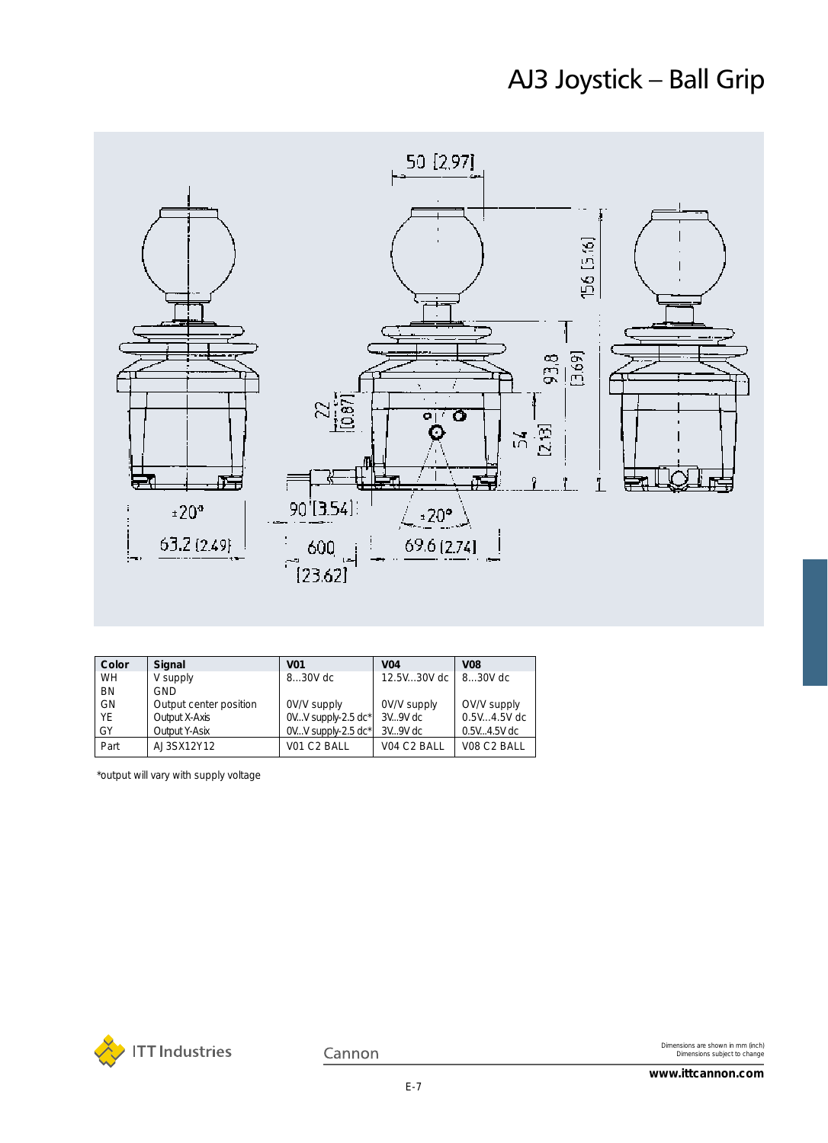## AJ3 Joystick – Ball Grip



| Color     | Signal                 | <b>V01</b>           | <b>V04</b>  | <b>V08</b>    |  |
|-----------|------------------------|----------------------|-------------|---------------|--|
| WH.       | V supply               | 830V dc              | 12.5V30V dc | 830V dc       |  |
| <b>BN</b> | <b>GND</b>             |                      |             |               |  |
| GN        | Output center position | OV/V supply          | OV/V supply | OV/V supply   |  |
| YF        | Output X-Axis          | $OVV$ supply-2.5 dc* | $3V.9V$ dc  | $0.5V4.5V$ dc |  |
| GY        | Output Y-Asix          | $OVV$ supply-2.5 dc* | 3V9V dc     | 0.5V4.5V dc   |  |
| Part      | AJ3SX12Y12             | V01 C2 BALL          | V04 C2 BALL | VO8 C2 BALL   |  |

\*output will vary with supply voltage



Cannon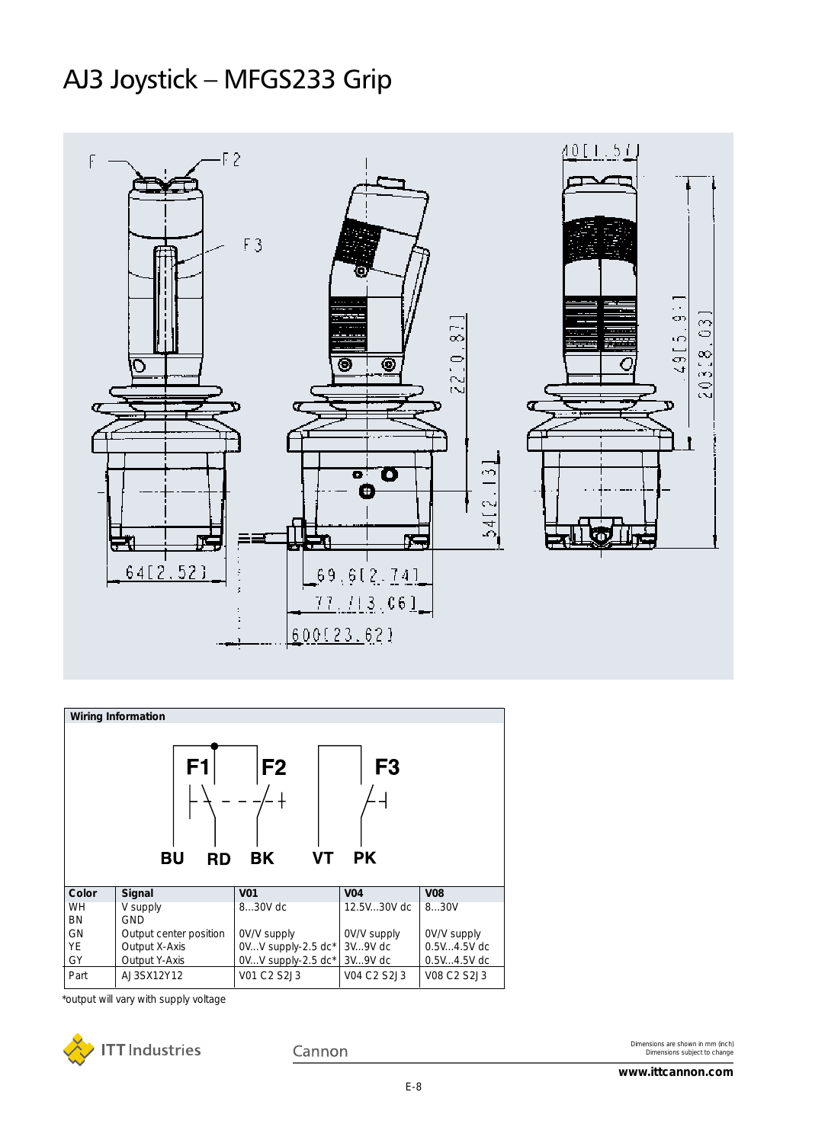## AJ3 Joystick – MFGS233 Grip



| <b>Wiring Information</b>                                                                        |                        |                    |             |               |  |  |
|--------------------------------------------------------------------------------------------------|------------------------|--------------------|-------------|---------------|--|--|
| F <sub>2</sub><br>F1<br>F <sub>3</sub><br>VT<br><b>BK</b><br><b>PK</b><br><b>BU</b><br><b>RD</b> |                        |                    |             |               |  |  |
| Color                                                                                            | Signal                 | <b>V01</b>         | <b>V04</b>  | <b>V08</b>    |  |  |
| <b>WH</b><br>BN                                                                                  | V supply<br><b>GND</b> | 830V dc            | 12.5V30V dc | 830V          |  |  |
| GN                                                                                               | Output center position | OV/V supply        | OV/V supply | OV/V supply   |  |  |
| YE                                                                                               | Output X-Axis          | 0VV supply-2.5 dc* | 3V9V dc     | $0.5V4.5V$ dc |  |  |
| GY                                                                                               | Output Y-Axis          | 0VV supply-2.5 dc* | 3V9V dc     | $0.5V4.5V$ dc |  |  |
| Part                                                                                             | AJ3SX12Y12             | V01 C2 S2J3        | V04 C2 S2J3 | V08 C2 S2J3   |  |  |

\*output will vary with supply voltage



Cannon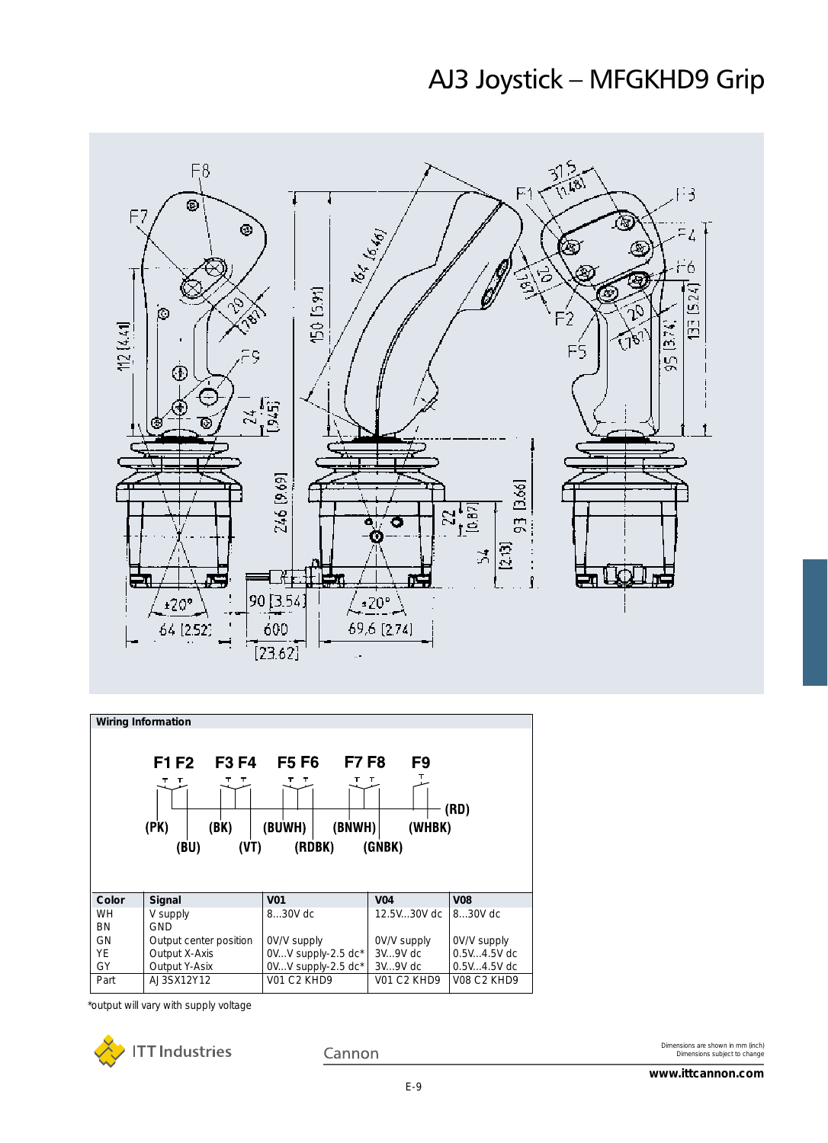### AJ3 Joystick – MFGKHD9 Grip





\*output will vary with supply voltage



Cannon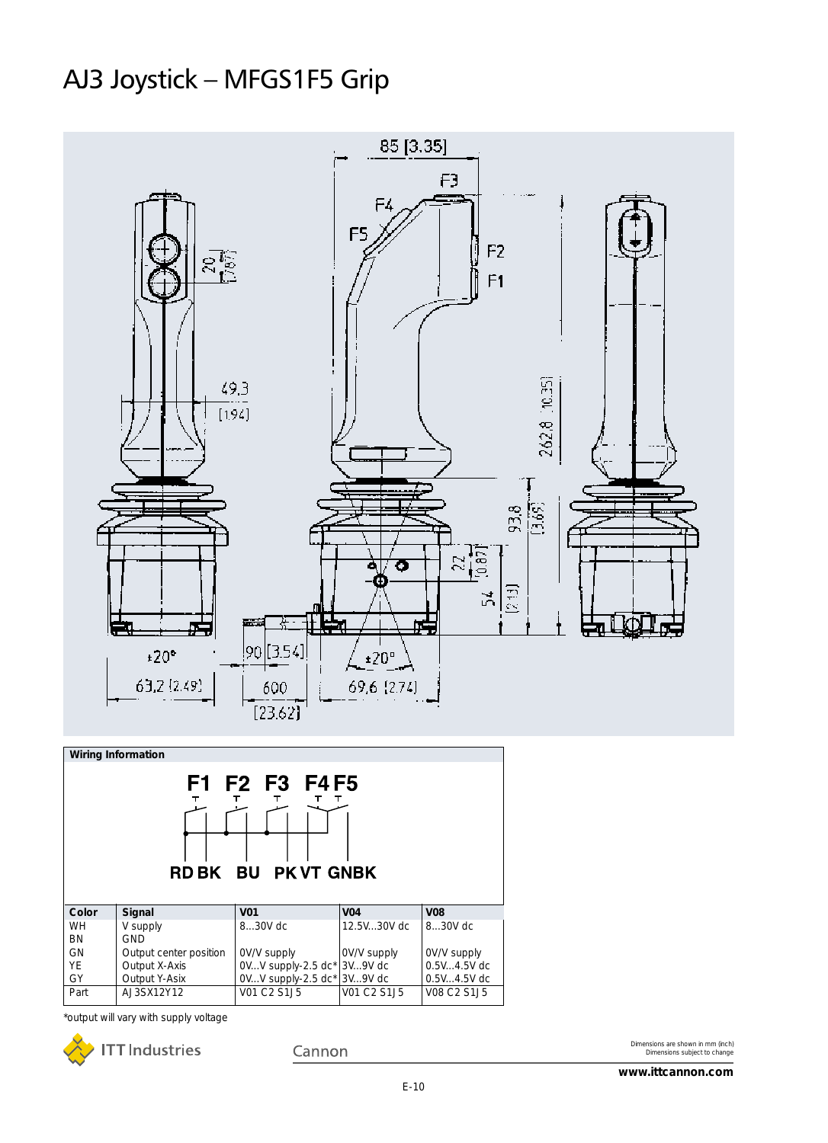## AJ3 Joystick – MFGS1F5 Grip



\*output will vary with supply voltage



Cannon

 $\overline{VO1 C2 S1J5}$